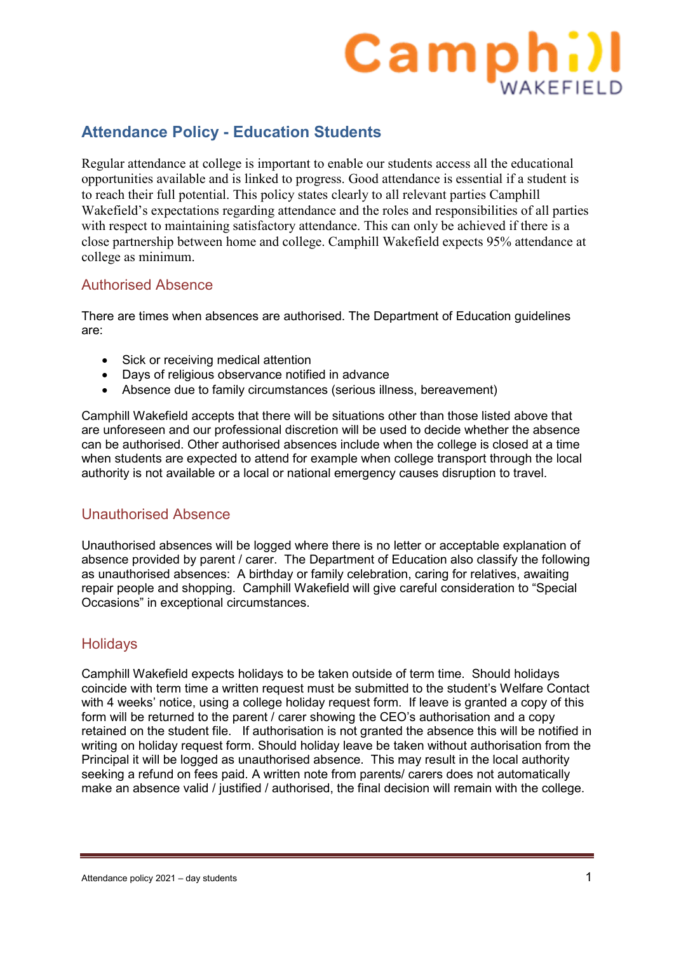# **Camphill**

# **Attendance Policy - Education Students**

Regular attendance at college is important to enable our students access all the educational opportunities available and is linked to progress. Good attendance is essential if a student is to reach their full potential. This policy states clearly to all relevant parties Camphill Wakefield's expectations regarding attendance and the roles and responsibilities of all parties with respect to maintaining satisfactory attendance. This can only be achieved if there is a close partnership between home and college. Camphill Wakefield expects 95% attendance at college as minimum.

# Authorised Absence

There are times when absences are authorised. The Department of Education guidelines are:

- Sick or receiving medical attention
- Days of religious observance notified in advance
- Absence due to family circumstances (serious illness, bereavement)

Camphill Wakefield accepts that there will be situations other than those listed above that are unforeseen and our professional discretion will be used to decide whether the absence can be authorised. Other authorised absences include when the college is closed at a time when students are expected to attend for example when college transport through the local authority is not available or a local or national emergency causes disruption to travel.

# Unauthorised Absence

Unauthorised absences will be logged where there is no letter or acceptable explanation of absence provided by parent / carer. The Department of Education also classify the following as unauthorised absences: A birthday or family celebration, caring for relatives, awaiting repair people and shopping. Camphill Wakefield will give careful consideration to "Special Occasions" in exceptional circumstances.

# **Holidays**

Camphill Wakefield expects holidays to be taken outside of term time. Should holidays coincide with term time a written request must be submitted to the student's Welfare Contact with 4 weeks' notice, using a college holiday request form. If leave is granted a copy of this form will be returned to the parent / carer showing the CEO's authorisation and a copy retained on the student file. If authorisation is not granted the absence this will be notified in writing on holiday request form. Should holiday leave be taken without authorisation from the Principal it will be logged as unauthorised absence. This may result in the local authority seeking a refund on fees paid. A written note from parents/ carers does not automatically make an absence valid / justified / authorised, the final decision will remain with the college.